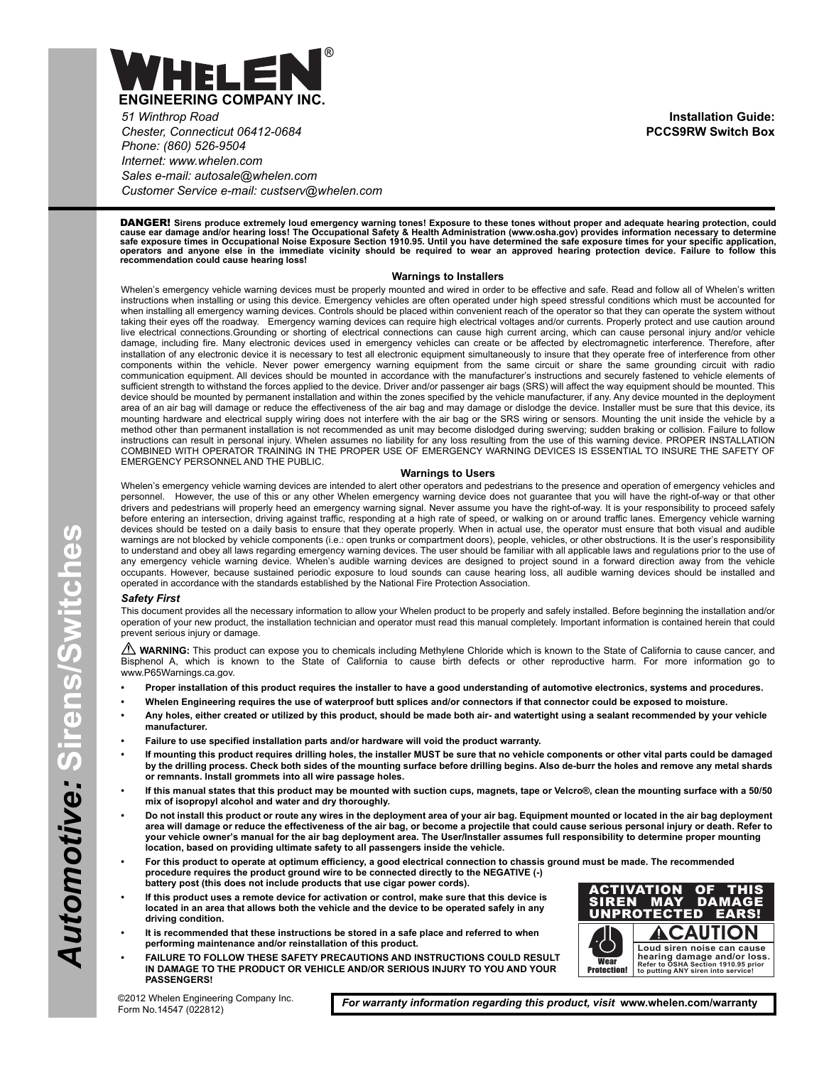

*51 Winthrop Road Chester, Connecticut 06412-0684 Phone: (860) 526-9504 Internet: www.whelen.com Sales e-mail: autosale@whelen.com Customer Service e-mail: custserv@whelen.com*

DANGER! **Sirens produce extremely loud emergency warning tones! Exposure to these tones without proper and adequate hearing protection, could** cause ear damage and/or hearing loss! The Occupational Safety & Health Administration (www.osha.gov) provides information necessary to determine<br>safe exposure times in Occupational Noise Exposure Section 1910.95. Until you

#### **Warnings to Installers**

Whelen's emergency vehicle warning devices must be properly mounted and wired in order to be effective and safe. Read and follow all of Whelen's written instructions when installing or using this device. Emergency vehicles are often operated under high speed stressful conditions which must be accounted for when installing all emergency warning devices. Controls should be placed within convenient reach of the operator so that they can operate the system without taking their eyes off the roadway. Emergency warning devices can require high electrical voltages and/or currents. Properly protect and use caution around live electrical connections.Grounding or shorting of electrical connections can cause high current arcing, which can cause personal injury and/or vehicle damage, including fire. Many electronic devices used in emergency vehicles can create or be affected by electromagnetic interference. Therefore, after installation of any electronic device it is necessary to test all electronic equipment simultaneously to insure that they operate free of interference from other components within the vehicle. Never power emergency warning equipment from the same circuit or share the same grounding circuit with radio communication equipment. All devices should be mounted in accordance with the manufacturer's instructions and securely fastened to vehicle elements of sufficient strength to withstand the forces applied to the device. Driver and/or passenger air bags (SRS) will affect the way equipment should be mounted. This device should be mounted by permanent installation and within the zones specified by the vehicle manufacturer, if any. Any device mounted in the deployment area of an air bag will damage or reduce the effectiveness of the air bag and may damage or dislodge the device. Installer must be sure that this device, its mounting hardware and electrical supply wiring does not interfere with the air bag or the SRS wiring or sensors. Mounting the unit inside the vehicle by a method other than permanent installation is not recommended as unit may become dislodged during swerving; sudden braking or collision. Failure to follow instructions can result in personal injury. Whelen assumes no liability for any loss resulting from the use of this warning device. PROPER INSTALLATION COMBINED WITH OPERATOR TRAINING IN THE PROPER USE OF EMERGENCY WARNING DEVICES IS ESSENTIAL TO INSURE THE SAFETY OF EMERGENCY PERSONNEL AND THE PUBLIC.

#### **Warnings to Users**

Whelen's emergency vehicle warning devices are intended to alert other operators and pedestrians to the presence and operation of emergency vehicles and personnel. However, the use of this or any other Whelen emergency warning device does not guarantee that you will have the right-of-way or that other drivers and pedestrians will properly heed an emergency warning signal. Never assume you have the right-of-way. It is your responsibility to proceed safely before entering an intersection, driving against traffic, responding at a high rate of speed, or walking on or around traffic lanes. Emergency vehicle warning devices should be tested on a daily basis to ensure that they operate properly. When in actual use, the operator must ensure that both visual and audible warnings are not blocked by vehicle components (i.e.: open trunks or compartment doors), people, vehicles, or other obstructions. It is the user's responsibility to understand and obey all laws regarding emergency warning devices. The user should be familiar with all applicable laws and regulations prior to the use of any emergency vehicle warning device. Whelen's audible warning devices are designed to project sound in a forward direction away from the vehicle occupants. However, because sustained periodic exposure to loud sounds can cause hearing loss, all audible warning devices should be installed and operated in accordance with the standards established by the National Fire Protection Association.

#### *Safety First*

This document provides all the necessary information to allow your Whelen product to be properly and safely installed. Before beginning the installation and/or operation of your new product, the installation technician and operator must read this manual completely. Important information is contained herein that could prevent serious injury or damage.

WARNING: This product can expose you to chemicals including Methylene Chloride which is known to the State of California to cause cancer, and Bisphenol A, which is known to the State of California to cause birth defects or other reproductive harm. For more information go to www.P65Warnings.ca.gov.

- **Proper installation of this product requires the installer to have a good understanding of automotive electronics, systems and procedures.**
- **Whelen Engineering requires the use of waterproof butt splices and/or connectors if that connector could be exposed to moisture.**
- **Any holes, either created or utilized by this product, should be made both air- and watertight using a sealant recommended by your vehicle manufacturer.**
- **Failure to use specified installation parts and/or hardware will void the product warranty.**
- **If mounting this product requires drilling holes, the installer MUST be sure that no vehicle components or other vital parts could be damaged by the drilling process. Check both sides of the mounting surface before drilling begins. Also de-burr the holes and remove any metal shards or remnants. Install grommets into all wire passage holes.**
- **If this manual states that this product may be mounted with suction cups, magnets, tape or Velcro®, clean the mounting surface with a 50/50 mix of isopropyl alcohol and water and dry thoroughly.**
- **Do not install this product or route any wires in the deployment area of your air bag. Equipment mounted or located in the air bag deployment area will damage or reduce the effectiveness of the air bag, or become a projectile that could cause serious personal injury or death. Refer to your vehicle owner's manual for the air bag deployment area. The User/Installer assumes full responsibility to determine proper mounting location, based on providing ultimate safety to all passengers inside the vehicle.**
- **For this product to operate at optimum efficiency, a good electrical connection to chassis ground must be made. The recommended procedure requires the product ground wire to be connected directly to the NEGATIVE (-) battery post (this does not include products that use cigar power cords).**
- **If this product uses a remote device for activation or control, make sure that this device is located in an area that allows both the vehicle and the device to be operated safely in any driving condition.**
- **It is recommended that these instructions be stored in a safe place and referred to when performing maintenance and/or reinstallation of this product.**
- **FAILURE TO FOLLOW THESE SAFETY PRECAUTIONS AND INSTRUCTIONS COULD RESULT IN DAMAGE TO THE PRODUCT OR VEHICLE AND/OR SERIOUS INJURY TO YOU AND YOUR PASSENGERS!**



*For warranty information regarding this product, visit* **www.whelen.com/warranty**

**Installation Guide: PCCS9RW Switch Box**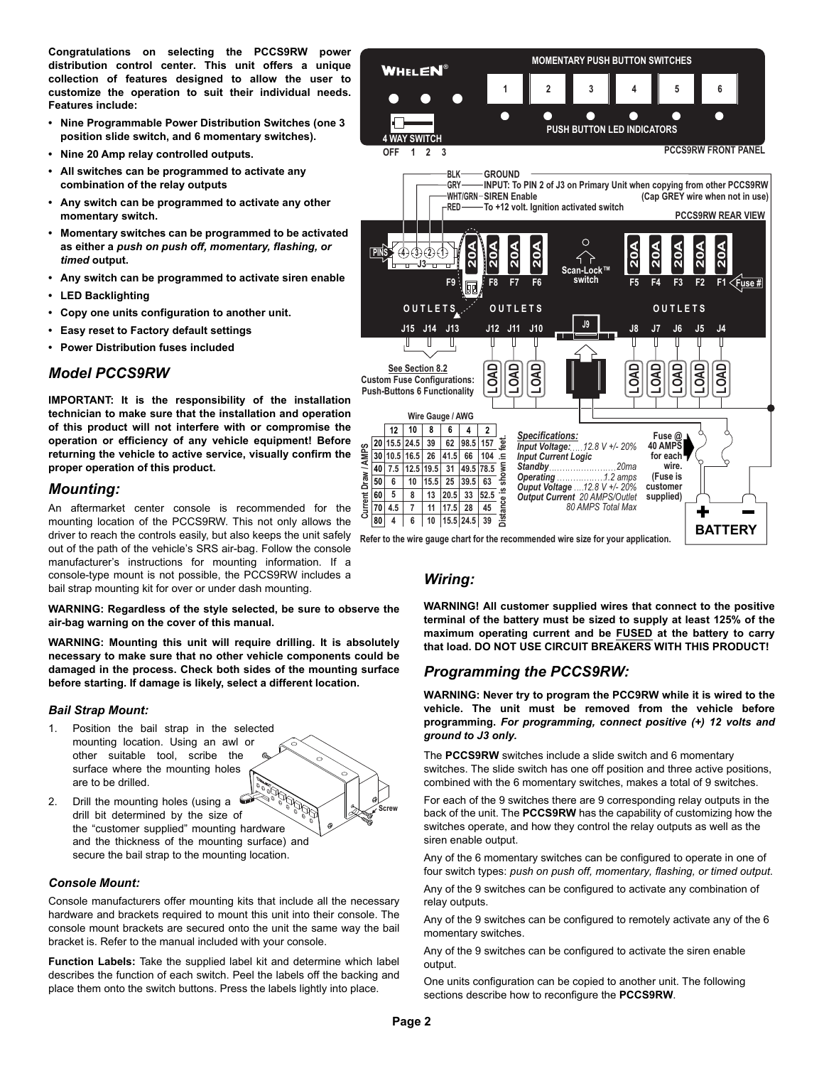**Congratulations on selecting the PCCS9RW power distribution control center. This unit offers a unique collection of features designed to allow the user to customize the operation to suit their individual needs. Features include:**

- **Nine Programmable Power Distribution Switches (one 3 position slide switch, and 6 momentary switches).**
- **Nine 20 Amp relay controlled outputs.**
- **All switches can be programmed to activate any combination of the relay outputs**
- **Any switch can be programmed to activate any other momentary switch.**
- **Momentary switches can be programmed to be activated as either a** *push on push off, momentary, flashing, or timed* **output.**
- **Any switch can be programmed to activate siren enable**
- **LED Backlighting**
- **Copy one units configuration to another unit.**
- **Easy reset to Factory default settings**
- **Power Distribution fuses included**

#### *Model PCCS9RW*

**IMPORTANT: It is the responsibility of the installation technician to make sure that the installation and operation of this product will not interfere with or compromise the operation or efficiency of any vehicle equipment! Before returning the vehicle to active service, visually confirm the proper operation of this product.**

#### *Mounting:*

An aftermarket center console is recommended for the mounting location of the PCCS9RW. This not only allows the driver to reach the controls easily, but also keeps the unit safely out of the path of the vehicle's SRS air-bag. Follow the console manufacturer's instructions for mounting information. If a console-type mount is not possible, the PCCS9RW includes a bail strap mounting kit for over or under dash mounting.

**WARNING: Regardless of the style selected, be sure to observe the air-bag warning on the cover of this manual.**

**WARNING: Mounting this unit will require drilling. It is absolutely necessary to make sure that no other vehicle components could be damaged in the process. Check both sides of the mounting surface before starting. If damage is likely, select a different location.**

#### *Bail Strap Mount:*

- 1. Position the bail strap in the selected mounting location. Using an awl or other suitable tool, scribe the surface where the mounting holes are to be drilled.
- 2. Drill the mounting holes (using a drill bit determined by the size of the "customer supplied" mounting hardware and the thickness of the mounting surface) and secure the bail strap to the mounting location.

#### *Console Mount:*

Console manufacturers offer mounting kits that include all the necessary hardware and brackets required to mount this unit into their console. The console mount brackets are secured onto the unit the same way the bail bracket is. Refer to the manual included with your console.

**Function Labels:** Take the supplied label kit and determine which label describes the function of each switch. Peel the labels off the backing and place them onto the switch buttons. Press the labels lightly into place.



#### *Wiring:*

**WARNING! All customer supplied wires that connect to the positive terminal of the battery must be sized to supply at least 125% of the maximum operating current and be FUSED at the battery to carry that load. DO NOT USE CIRCUIT BREAKERS WITH THIS PRODUCT!**

### *Programming the PCCS9RW:*

**WARNING: Never try to program the PCC9RW while it is wired to the vehicle. The unit must be removed from the vehicle before programming.** *For programming, connect positive (+) 12 volts and ground to J3 only.*

The **PCCS9RW** switches include a slide switch and 6 momentary switches. The slide switch has one off position and three active positions, combined with the 6 momentary switches, makes a total of 9 switches.

For each of the 9 switches there are 9 corresponding relay outputs in the back of the unit. The **PCCS9RW** has the capability of customizing how the switches operate, and how they control the relay outputs as well as the siren enable output.

Any of the 6 momentary switches can be configured to operate in one of four switch types: *push on push off, momentary, flashing, or timed output*.

Any of the 9 switches can be configured to activate any combination of relay outputs.

Any of the 9 switches can be configured to remotely activate any of the 6 momentary switches.

Any of the 9 switches can be configured to activate the siren enable output.

One units configuration can be copied to another unit. The following sections describe how to reconfigure the **PCCS9RW**.

**Screw**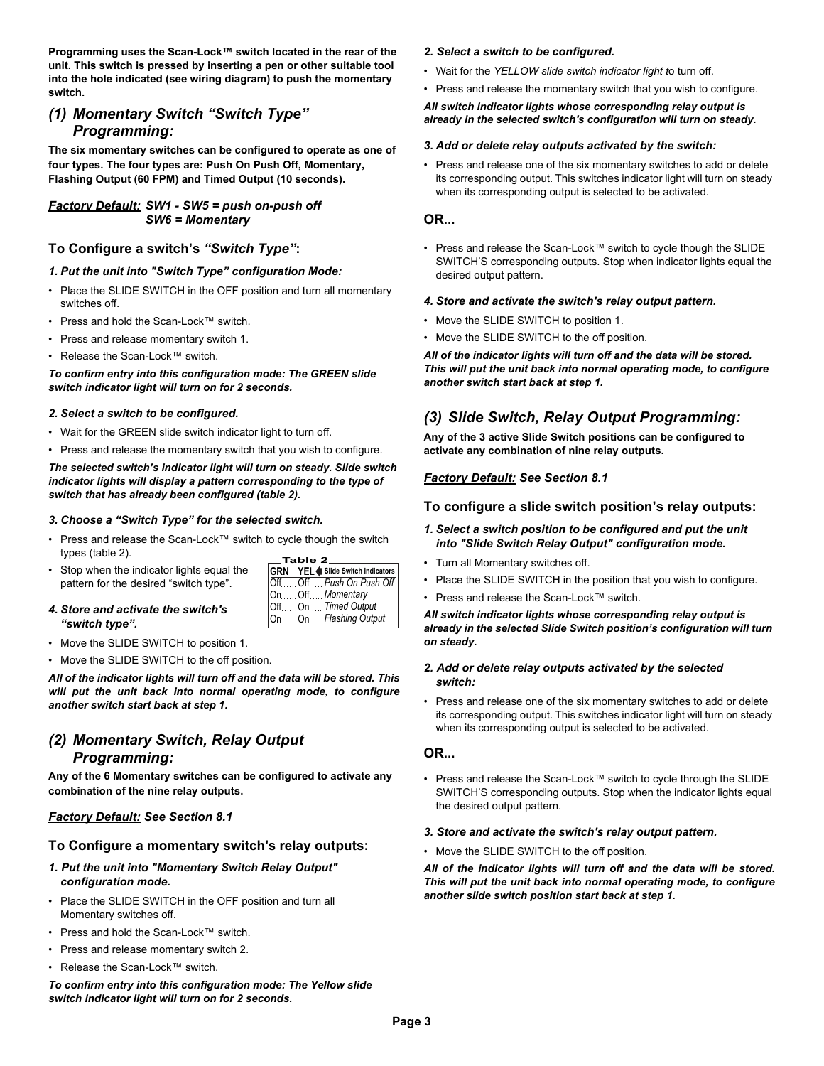**Programming uses the Scan-Lock™ switch located in the rear of the unit. This switch is pressed by inserting a pen or other suitable tool into the hole indicated (see wiring diagram) to push the momentary switch.**

### *(1) Momentary Switch "Switch Type" Programming:*

**The six momentary switches can be configured to operate as one of four types. The four types are: Push On Push Off, Momentary, Flashing Output (60 FPM) and Timed Output (10 seconds).**

#### *Factory Default: SW1 - SW5 = push on-push off SW6 = Momentary*

### **To Configure a switch's** *"Switch Type"***:**

#### *1. Put the unit into "Switch Type" configuration Mode:*

- Place the SLIDE SWITCH in the OFF position and turn all momentary switches off.
- Press and hold the Scan-Lock™ switch.
- Press and release momentary switch 1.
- Release the Scan-Lock™ switch.

#### *To confirm entry into this configuration mode: The GREEN slide switch indicator light will turn on for 2 seconds.*

#### *2. Select a switch to be configured.*

- Wait for the GREEN slide switch indicator light to turn off.
- Press and release the momentary switch that you wish to configure.

*The selected switch's indicator light will turn on steady. Slide switch indicator lights will display a pattern corresponding to the type of switch that has already been configured (table 2).*

#### *3. Choose a "Switch Type" for the selected switch.*

- Press and release the Scan-Lock™ switch to cycle though the switch types (table 2).
- Stop when the indicator lights equal the pattern for the desired "switch type".

| $\equiv$ Table 2 $\equiv$ |  |                                        |  |
|---------------------------|--|----------------------------------------|--|
|                           |  | <b>GRN</b> YEL Slide Switch Indicators |  |
|                           |  | Off Off Push On Push Off               |  |
|                           |  | OnOffMomentary                         |  |
|                           |  | OffOn Timed Output                     |  |
|                           |  | On  On Flashing Output                 |  |

- *4. Store and activate the switch's "switch type".*
- Move the SLIDE SWITCH to position 1.
- Move the SLIDE SWITCH to the off position.

*All of the indicator lights will turn off and the data will be stored. This will put the unit back into normal operating mode, to configure another switch start back at step 1.*

## *(2) Momentary Switch, Relay Output Programming:*

**Any of the 6 Momentary switches can be configured to activate any combination of the nine relay outputs.**

### *Factory Default: See Section 8.1*

### **To Configure a momentary switch's relay outputs:**

- *1. Put the unit into "Momentary Switch Relay Output" configuration mode.*
- Place the SLIDE SWITCH in the OFF position and turn all Momentary switches off.
- Press and hold the Scan-Lock™ switch.
- Press and release momentary switch 2.
- Release the Scan-Lock™ switch.

*To confirm entry into this configuration mode: The Yellow slide switch indicator light will turn on for 2 seconds.*

### *2. Select a switch to be configured.*

- Wait for the *YELLOW slide switch indicator light t*o turn off.
- Press and release the momentary switch that you wish to configure.

#### *All switch indicator lights whose corresponding relay output is already in the selected switch's configuration will turn on steady.*

### *3. Add or delete relay outputs activated by the switch:*

• Press and release one of the six momentary switches to add or delete its corresponding output. This switches indicator light will turn on steady when its corresponding output is selected to be activated.

#### **OR...**

• Press and release the Scan-Lock™ switch to cycle though the SLIDE SWITCH'S corresponding outputs. Stop when indicator lights equal the desired output pattern.

#### *4. Store and activate the switch's relay output pattern.*

- Move the SLIDE SWITCH to position 1.
- Move the SLIDE SWITCH to the off position.

*All of the indicator lights will turn off and the data will be stored. This will put the unit back into normal operating mode, to configure another switch start back at step 1.*

### *(3) Slide Switch, Relay Output Programming:*

**Any of the 3 active Slide Switch positions can be configured to activate any combination of nine relay outputs.**

#### *Factory Default: See Section 8.1*

#### **To configure a slide switch position's relay outputs:**

- *1. Select a switch position to be configured and put the unit into "Slide Switch Relay Output" configuration mode.*
- Turn all Momentary switches off.
- Place the SLIDE SWITCH in the position that you wish to configure.
- Press and release the Scan-Lock™ switch.

*All switch indicator lights whose corresponding relay output is already in the selected Slide Switch position's configuration will turn on steady.*

#### *2. Add or delete relay outputs activated by the selected switch:*

• Press and release one of the six momentary switches to add or delete its corresponding output. This switches indicator light will turn on steady when its corresponding output is selected to be activated.

### **OR...**

• Press and release the Scan-Lock™ switch to cycle through the SLIDE SWITCH'S corresponding outputs. Stop when the indicator lights equal the desired output pattern.

#### *3. Store and activate the switch's relay output pattern.*

• Move the SLIDE SWITCH to the off position.

*All of the indicator lights will turn off and the data will be stored. This will put the unit back into normal operating mode, to configure another slide switch position start back at step 1.*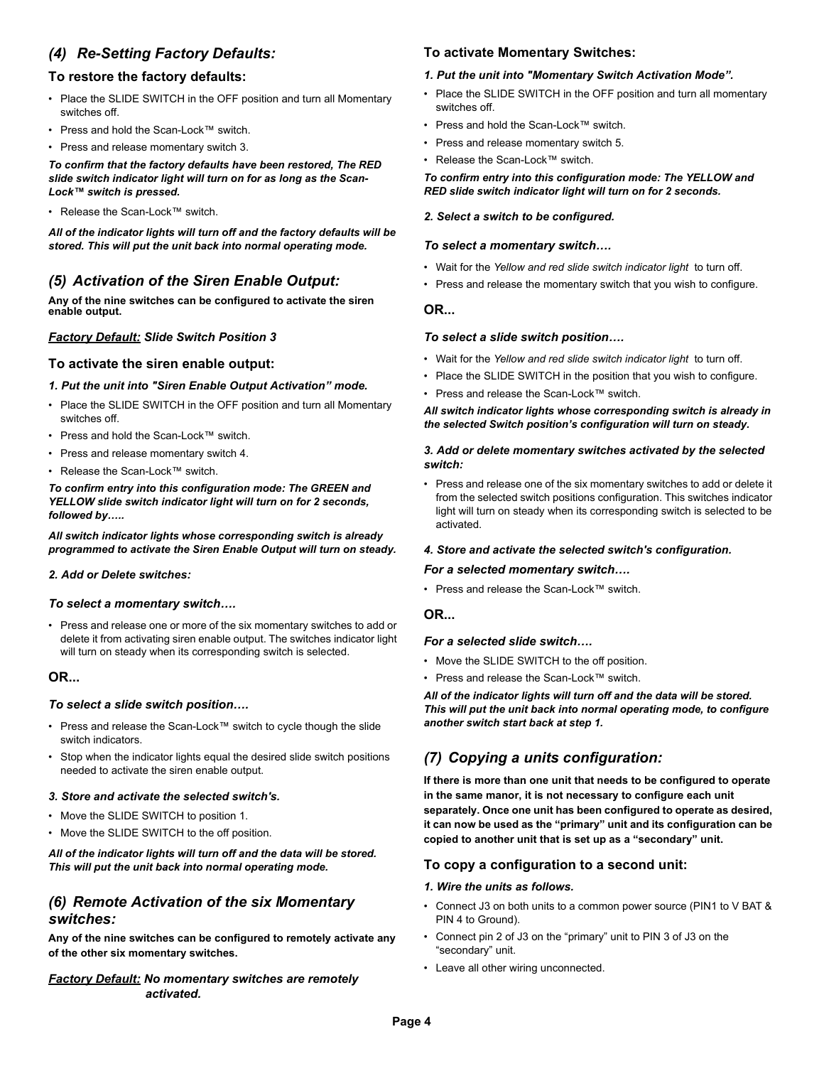### *(4) Re-Setting Factory Defaults:*

### **To restore the factory defaults:**

- Place the SLIDE SWITCH in the OFF position and turn all Momentary switches off.
- Press and hold the Scan-Lock™ switch.
- Press and release momentary switch 3.

*To confirm that the factory defaults have been restored, The RED slide switch indicator light will turn on for as long as the Scan-Lock™ switch is pressed.*

• Release the Scan-Lock™ switch.

*All of the indicator lights will turn off and the factory defaults will be stored. This will put the unit back into normal operating mode.*

### *(5) Activation of the Siren Enable Output:*

**Any of the nine switches can be configured to activate the siren enable output.**

### *Factory Default: Slide Switch Position 3*

#### **To activate the siren enable output:**

#### *1. Put the unit into "Siren Enable Output Activation" mode.*

- Place the SLIDE SWITCH in the OFF position and turn all Momentary switches off.
- Press and hold the Scan-Lock™ switch.
- Press and release momentary switch 4.
- Release the Scan-Lock™ switch.

*To confirm entry into this configuration mode: The GREEN and YELLOW slide switch indicator light will turn on for 2 seconds, followed by…..*

*All switch indicator lights whose corresponding switch is already programmed to activate the Siren Enable Output will turn on steady.*

#### *2. Add or Delete switches:*

#### *To select a momentary switch….*

• Press and release one or more of the six momentary switches to add or delete it from activating siren enable output. The switches indicator light will turn on steady when its corresponding switch is selected.

#### **OR...**

#### *To select a slide switch position….*

- Press and release the Scan-Lock™ switch to cycle though the slide switch indicators.
- Stop when the indicator lights equal the desired slide switch positions needed to activate the siren enable output.

#### *3. Store and activate the selected switch's.*

- Move the SLIDE SWITCH to position 1.
- Move the SLIDE SWITCH to the off position.

#### *All of the indicator lights will turn off and the data will be stored. This will put the unit back into normal operating mode.*

### *(6) Remote Activation of the six Momentary switches:*

**Any of the nine switches can be configured to remotely activate any of the other six momentary switches.**

*Factory Default: No momentary switches are remotely activated.*

#### **To activate Momentary Switches:**

#### *1. Put the unit into "Momentary Switch Activation Mode".*

- Place the SLIDE SWITCH in the OFF position and turn all momentary switches off.
- Press and hold the Scan-Lock™ switch.
- Press and release momentary switch 5.
- Release the Scan-Lock™ switch.

*To confirm entry into this configuration mode: The YELLOW and RED slide switch indicator light will turn on for 2 seconds.*

#### *2. Select a switch to be configured.*

#### *To select a momentary switch….*

- Wait for the *Yellow and red slide switch indicator light* to turn off.
- Press and release the momentary switch that you wish to configure.

#### **OR...**

#### *To select a slide switch position….*

- Wait for the *Yellow and red slide switch indicator light* to turn off.
- Place the SLIDE SWITCH in the position that you wish to configure.
- Press and release the Scan-Lock™ switch.

*All switch indicator lights whose corresponding switch is already in the selected Switch position's configuration will turn on steady.*

#### *3. Add or delete momentary switches activated by the selected switch:*

• Press and release one of the six momentary switches to add or delete it from the selected switch positions configuration. This switches indicator light will turn on steady when its corresponding switch is selected to be activated.

#### *4. Store and activate the selected switch's configuration.*

#### *For a selected momentary switch….*

• Press and release the Scan-Lock™ switch.

#### **OR...**

#### *For a selected slide switch….*

- Move the SLIDE SWITCH to the off position.
- Press and release the Scan-Lock™ switch.

*All of the indicator lights will turn off and the data will be stored. This will put the unit back into normal operating mode, to configure another switch start back at step 1.*

## *(7) Copying a units configuration:*

**If there is more than one unit that needs to be configured to operate in the same manor, it is not necessary to configure each unit separately. Once one unit has been configured to operate as desired, it can now be used as the "primary" unit and its configuration can be copied to another unit that is set up as a "secondary" unit.**

#### **To copy a configuration to a second unit:**

#### *1. Wire the units as follows.*

- Connect J3 on both units to a common power source (PIN1 to V BAT & PIN 4 to Ground).
- Connect pin 2 of J3 on the "primary" unit to PIN 3 of J3 on the "secondary" unit.
- Leave all other wiring unconnected.